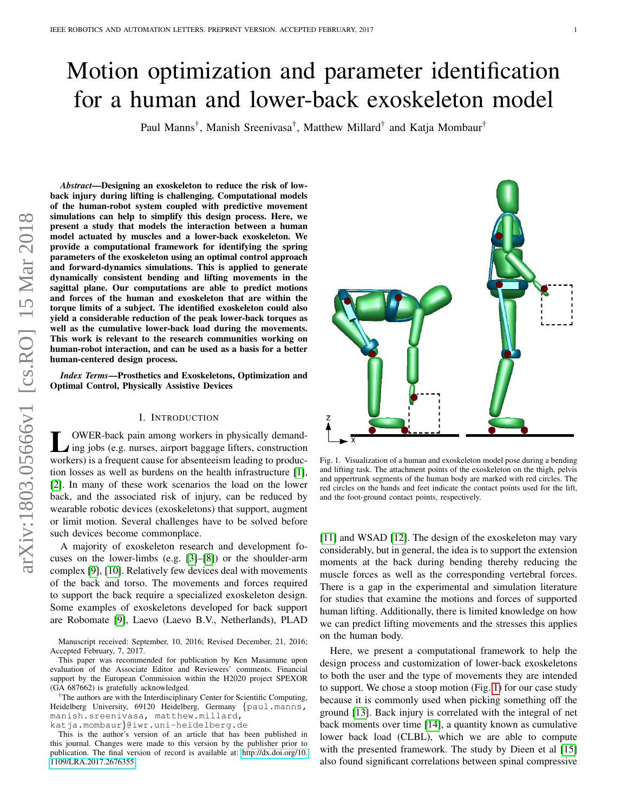# Motion optimization and parameter identification for a human and lower-back exoskeleton model

Paul Manns<sup>†</sup>, Manish Sreenivasa<sup>†</sup>, Matthew Millard<sup>†</sup> and Katja Mombaur<sup>†</sup>

*Abstract*—Designing an exoskeleton to reduce the risk of lowback injury during lifting is challenging. Computational models of the human-robot system coupled with predictive movement simulations can help to simplify this design process. Here, we present a study that models the interaction between a human model actuated by muscles and a lower-back exoskeleton. We provide a computational framework for identifying the spring parameters of the exoskeleton using an optimal control approach and forward-dynamics simulations. This is applied to generate dynamically consistent bending and lifting movements in the sagittal plane. Our computations are able to predict motions and forces of the human and exoskeleton that are within the torque limits of a subject. The identified exoskeleton could also yield a considerable reduction of the peak lower-back torques as well as the cumulative lower-back load during the movements. This work is relevant to the research communities working on human-robot interaction, and can be used as a basis for a better human-centered design process.

*Index Terms*—Prosthetics and Exoskeletons, Optimization and Optimal Control, Physically Assistive Devices

## I. INTRODUCTION

L OWER-back pain among workers in physically demand-<br>ling jobs (e.g. nurses, airport baggage lifters, construction<br>modern) is a formant equal for a handscripture localization OWER-back pain among workers in physically demandworkers) is a frequent cause for absenteeism leading to production losses as well as burdens on the health infrastructure [\[1\]](#page-5-0), [\[2\]](#page-5-1). In many of these work scenarios the load on the lower back, and the associated risk of injury, can be reduced by wearable robotic devices (exoskeletons) that support, augment or limit motion. Several challenges have to be solved before such devices become commonplace.

A majority of exoskeleton research and development focuses on the lower-limbs (e.g. [\[3\]](#page-5-2)–[\[8\]](#page-5-3)) or the shoulder-arm complex [\[9\]](#page-5-4), [\[10\]](#page-5-5). Relatively few devices deal with movements of the back and torso. The movements and forces required to support the back require a specialized exoskeleton design. Some examples of exoskeletons developed for back support are Robomate [\[9\]](#page-5-4), Laevo (Laevo B.V., Netherlands), PLAD

†The authors are with the Interdisciplinary Center for Scientific Computing, Heidelberg University, 69120 Heidelberg, Germany {paul.manns, manish.sreenivasa, matthew.millard, katja.mombaur}@iwr.uni-heidelberg.de

This is the author's version of an article that has been published in this journal. Changes were made to this version by the publisher prior to publication. The final version of record is available at: [http://dx.doi.org/10.](http://dx.doi.org/10.1109/LRA.2017.2676355) [1109/LRA.2017.2676355](http://dx.doi.org/10.1109/LRA.2017.2676355)



Fig. 1. Visualization of a human and exoskeleton model pose during a bending and lifting task. The attachment points of the exoskeleton on the thigh, pelvis and uppertrunk segments of the human body are marked with red circles. The red circles on the hands and feet indicate the contact points used for the lift, and the foot-ground contact points, respectively.

<span id="page-0-0"></span>[\[11\]](#page-5-6) and WSAD [\[12\]](#page-5-7). The design of the exoskeleton may vary considerably, but in general, the idea is to support the extension moments at the back during bending thereby reducing the muscle forces as well as the corresponding vertebral forces. There is a gap in the experimental and simulation literature for studies that examine the motions and forces of supported human lifting. Additionally, there is limited knowledge on how we can predict lifting movements and the stresses this applies on the human body.

Here, we present a computational framework to help the design process and customization of lower-back exoskeletons to both the user and the type of movements they are intended to support. We chose a stoop motion (Fig. [1\)](#page-0-0) for our case study because it is commonly used when picking something off the ground [\[13\]](#page-5-8). Back injury is correlated with the integral of net back moments over time [\[14\]](#page-5-9), a quantity known as cumulative lower back load (CLBL), which we are able to compute with the presented framework. The study by Dieen et al [\[15\]](#page-5-10) also found significant correlations between spinal compressive

Manuscript received: September, 10, 2016; Revised December, 21, 2016; Accepted February, 7, 2017.

This paper was recommended for publication by Ken Masamune upon evaluation of the Associate Editor and Reviewers' comments. Financial support by the European Commission within the H2020 project SPEXOR (GA 687662) is gratefully acknowledged.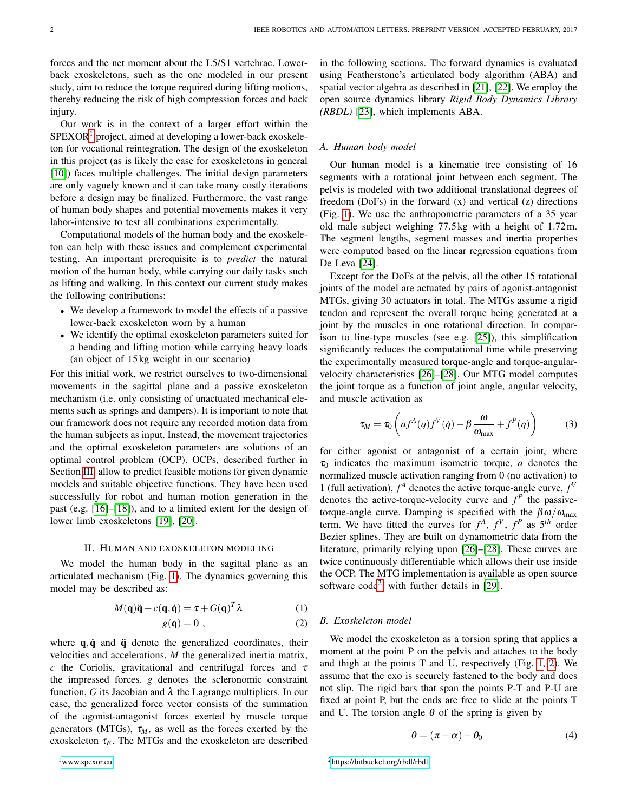forces and the net moment about the L5/S1 vertebrae. Lowerback exoskeletons, such as the one modeled in our present study, aim to reduce the torque required during lifting motions, thereby reducing the risk of high compression forces and back injury.

Our work is in the context of a larger effort within the  $SPEXOR<sup>1</sup>$  $SPEXOR<sup>1</sup>$  $SPEXOR<sup>1</sup>$  project, aimed at developing a lower-back exoskeleton for vocational reintegration. The design of the exoskeleton in this project (as is likely the case for exoskeletons in general [\[10\]](#page-5-5)) faces multiple challenges. The initial design parameters are only vaguely known and it can take many costly iterations before a design may be finalized. Furthermore, the vast range of human body shapes and potential movements makes it very labor-intensive to test all combinations experimentally.

Computational models of the human body and the exoskeleton can help with these issues and complement experimental testing. An important prerequisite is to *predict* the natural motion of the human body, while carrying our daily tasks such as lifting and walking. In this context our current study makes the following contributions:

- We develop a framework to model the effects of a passive lower-back exoskeleton worn by a human
- We identify the optimal exoskeleton parameters suited for a bending and lifting motion while carrying heavy loads (an object of 15 kg weight in our scenario)

For this initial work, we restrict ourselves to two-dimensional movements in the sagittal plane and a passive exoskeleton mechanism (i.e. only consisting of unactuated mechanical elements such as springs and dampers). It is important to note that our framework does not require any recorded motion data from the human subjects as input. Instead, the movement trajectories and the optimal exoskeleton parameters are solutions of an optimal control problem (OCP). OCPs, described further in Section [III,](#page-2-0) allow to predict feasible motions for given dynamic models and suitable objective functions. They have been used successfully for robot and human motion generation in the past (e.g. [\[16\]](#page-5-11)–[\[18\]](#page-6-0)), and to a limited extent for the design of lower limb exoskeletons [\[19\]](#page-6-1), [\[20\]](#page-6-2).

#### II. HUMAN AND EXOSKELETON MODELING

We model the human body in the sagittal plane as an articulated mechanism (Fig. [1\)](#page-0-0). The dynamics governing this model may be described as:

$$
M(\mathbf{q})\ddot{\mathbf{q}} + c(\mathbf{q}, \dot{\mathbf{q}}) = \tau + G(\mathbf{q})^T \lambda \tag{1}
$$

$$
g(\mathbf{q}) = 0 \tag{2}
$$

<span id="page-1-0"></span>where  $q, \dot{q}$  and  $\ddot{q}$  denote the generalized coordinates, their velocities and accelerations, *M* the generalized inertia matrix, *c* the Coriolis, gravitational and centrifugal forces and  $\tau$ the impressed forces. *g* denotes the scleronomic constraint function, *G* its Jacobian and  $\lambda$  the Lagrange multipliers. In our case, the generalized force vector consists of the summation of the agonist-antagonist forces exerted by muscle torque generators (MTGs),  $\tau_M$ , as well as the forces exerted by the exoskeleton  $\tau_F$ . The MTGs and the exoskeleton are described in the following sections. The forward dynamics is evaluated using Featherstone's articulated body algorithm (ABA) and spatial vector algebra as described in [\[21\]](#page-6-3), [\[22\]](#page-6-4). We employ the open source dynamics library *Rigid Body Dynamics Library (RBDL)* [\[23\]](#page-6-5), which implements ABA.

# *A. Human body model*

Our human model is a kinematic tree consisting of 16 segments with a rotational joint between each segment. The pelvis is modeled with two additional translational degrees of freedom (DoFs) in the forward (x) and vertical (z) directions (Fig. [1\)](#page-0-0). We use the anthropometric parameters of a 35 year old male subject weighing 77.5 kg with a height of 1.72m. The segment lengths, segment masses and inertia properties were computed based on the linear regression equations from De Leva [\[24\]](#page-6-6).

Except for the DoFs at the pelvis, all the other 15 rotational joints of the model are actuated by pairs of agonist-antagonist MTGs, giving 30 actuators in total. The MTGs assume a rigid tendon and represent the overall torque being generated at a joint by the muscles in one rotational direction. In comparison to line-type muscles (see e.g. [\[25\]](#page-6-7)), this simplification significantly reduces the computational time while preserving the experimentally measured torque-angle and torque-angularvelocity characteristics [\[26\]](#page-6-8)–[\[28\]](#page-6-9). Our MTG model computes the joint torque as a function of joint angle, angular velocity, and muscle activation as

$$
\tau_M = \tau_0 \left( af^A(q) f^V(q) - \beta \frac{\omega}{\omega_{\text{max}}} + f^P(q) \right) \tag{3}
$$

for either agonist or antagonist of a certain joint, where  $\tau_0$  indicates the maximum isometric torque, *a* denotes the normalized muscle activation ranging from 0 (no activation) to 1 (full activation),  $f^A$  denotes the active torque-angle curve,  $f^V$ denotes the active-torque-velocity curve and  $f<sup>P</sup>$  the passivetorque-angle curve. Damping is specified with the  $βω/ω_{max}$ term. We have fitted the curves for  $f^A$ ,  $f^V$ ,  $f^P$  as  $5^{th}$  order Bezier splines. They are built on dynamometric data from the literature, primarily relying upon [\[26\]](#page-6-8)–[\[28\]](#page-6-9). These curves are twice continuously differentiable which allows their use inside the OCP. The MTG implementation is available as open source software code<sup>[2](#page-1-1)</sup>, with further details in [\[29\]](#page-6-10).

## *B. Exoskeleton model*

We model the exoskeleton as a torsion spring that applies a moment at the point P on the pelvis and attaches to the body and thigh at the points T and U, respectively (Fig. [1,](#page-0-0) [2\)](#page-2-1). We assume that the exo is securely fastened to the body and does not slip. The rigid bars that span the points P-T and P-U are fixed at point P, but the ends are free to slide at the points T and U. The torsion angle  $\theta$  of the spring is given by

<span id="page-1-1"></span>
$$
\theta = (\pi - \alpha) - \theta_0 \tag{4}
$$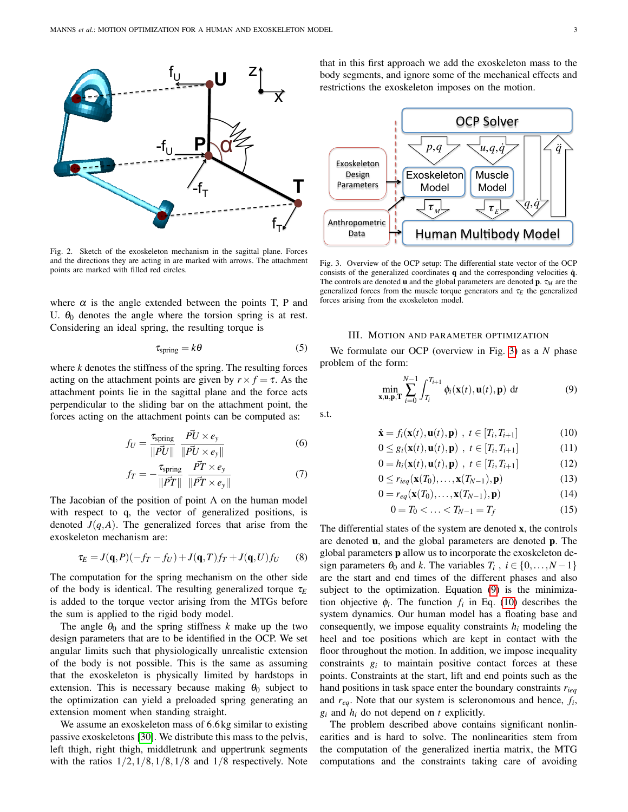

<span id="page-2-1"></span>Fig. 2. Sketch of the exoskeleton mechanism in the sagittal plane. Forces and the directions they are acting in are marked with arrows. The attachment points are marked with filled red circles.

where  $\alpha$  is the angle extended between the points T, P and U.  $\theta_0$  denotes the angle where the torsion spring is at rest. Considering an ideal spring, the resulting torque is

$$
\tau_{\text{spring}} = k\theta \tag{5}
$$

where *k* denotes the stiffness of the spring. The resulting forces acting on the attachment points are given by  $r \times f = \tau$ . As the attachment points lie in the sagittal plane and the force acts perpendicular to the sliding bar on the attachment point, the forces acting on the attachment points can be computed as:

$$
f_U = \frac{\tau_{\text{spring}}}{\|\vec{PU}\|} \frac{\vec{PU} \times e_y}{\|\vec{PU} \times e_y\|} \tag{6}
$$

$$
f_T = -\frac{\tau_{\text{spring}}}{\|\vec{PT}\|} \frac{\vec{PT} \times e_y}{\|\vec{PT} \times e_y\|} \tag{7}
$$

The Jacobian of the position of point A on the human model with respect to q, the vector of generalized positions, is denoted  $J(q, A)$ . The generalized forces that arise from the exoskeleton mechanism are:

$$
\tau_E = J(\mathbf{q}, P)(-f_T - f_U) + J(\mathbf{q}, T)f_T + J(\mathbf{q}, U)f_U \qquad (8)
$$

The computation for the spring mechanism on the other side of the body is identical. The resulting generalized torque  $\tau_F$ is added to the torque vector arising from the MTGs before the sum is applied to the rigid body model.

The angle  $\theta_0$  and the spring stiffness *k* make up the two design parameters that are to be identified in the OCP. We set angular limits such that physiologically unrealistic extension of the body is not possible. This is the same as assuming that the exoskeleton is physically limited by hardstops in extension. This is necessary because making  $\theta_0$  subject to the optimization can yield a preloaded spring generating an extension moment when standing straight.

We assume an exoskeleton mass of 6.6 kg similar to existing passive exoskeletons [\[30\]](#page-6-11). We distribute this mass to the pelvis, left thigh, right thigh, middletrunk and uppertrunk segments with the ratios  $1/2$ ,  $1/8$ ,  $1/8$ ,  $1/8$  and  $1/8$  respectively. Note that in this first approach we add the exoskeleton mass to the body segments, and ignore some of the mechanical effects and restrictions the exoskeleton imposes on the motion.



<span id="page-2-2"></span>Fig. 3. Overview of the OCP setup: The differential state vector of the OCP consists of the generalized coordinates  $q$  and the corresponding velocities  $\dot{q}$ . The controls are denoted **u** and the global parameters are denoted **p**.  $\tau_M$  are the generalized forces from the muscle torque generators and  $\tau_E$  the generalized forces arising from the exoskeleton model.

## III. MOTION AND PARAMETER OPTIMIZATION

<span id="page-2-0"></span>We formulate our OCP (overview in Fig. [3\)](#page-2-2) as a *N* phase problem of the form:

<span id="page-2-3"></span>
$$
\min_{\mathbf{x}, \mathbf{u}, \mathbf{p}, \mathbf{T}} \sum_{i=0}^{N-1} \int_{T_i}^{T_{i+1}} \phi_i(\mathbf{x}(t), \mathbf{u}(t), \mathbf{p}) \, dt \tag{9}
$$

s.t.

<span id="page-2-4"></span>
$$
\dot{\mathbf{x}} = f_i(\mathbf{x}(t), \mathbf{u}(t), \mathbf{p}) \ , \ t \in [T_i, T_{i+1}] \tag{10}
$$

$$
0 \le g_i(\mathbf{x}(t), \mathbf{u}(t), \mathbf{p}) , t \in [T_i, T_{i+1}]
$$
 (11)

$$
0 = h_i(\mathbf{x}(t), \mathbf{u}(t), \mathbf{p}) \, , \, t \in [T_i, T_{i+1}] \tag{12}
$$

$$
0 \le r_{ieq}(\mathbf{x}(T_0), \dots, \mathbf{x}(T_{N-1}), \mathbf{p})
$$
\n(13)

$$
0 = r_{eq}(\mathbf{x}(T_0), \dots, \mathbf{x}(T_{N-1}), \mathbf{p})
$$
\n(14)

$$
0 = T_0 < \ldots < T_{N-1} = T_f \tag{15}
$$

The differential states of the system are denoted x, the controls are denoted u, and the global parameters are denoted p. The global parameters p allow us to incorporate the exoskeleton design parameters  $\theta_0$  and *k*. The variables  $T_i$ ,  $i \in \{0, ..., N-1\}$ are the start and end times of the different phases and also subject to the optimization. Equation [\(9\)](#page-2-3) is the minimization objective  $\phi_i$ . The function  $f_i$  in Eq. [\(10\)](#page-2-4) describes the system dynamics. Our human model has a floating base and consequently, we impose equality constraints  $h_i$  modeling the heel and toe positions which are kept in contact with the floor throughout the motion. In addition, we impose inequality constraints  $g_i$  to maintain positive contact forces at these points. Constraints at the start, lift and end points such as the hand positions in task space enter the boundary constraints *rieq* and *req*. Note that our system is scleronomous and hence, *f<sup>i</sup>* ,  $g_i$  and  $h_i$  do not depend on  $t$  explicitly.

The problem described above contains significant nonlinearities and is hard to solve. The nonlinearities stem from the computation of the generalized inertia matrix, the MTG computations and the constraints taking care of avoiding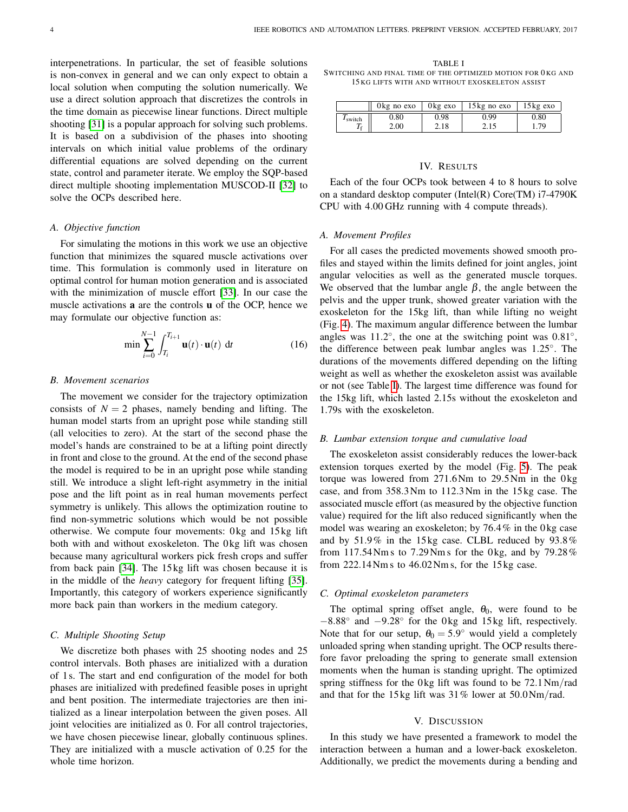interpenetrations. In particular, the set of feasible solutions is non-convex in general and we can only expect to obtain a local solution when computing the solution numerically. We use a direct solution approach that discretizes the controls in the time domain as piecewise linear functions. Direct multiple shooting [\[31\]](#page-6-12) is a popular approach for solving such problems. It is based on a subdivision of the phases into shooting intervals on which initial value problems of the ordinary differential equations are solved depending on the current state, control and parameter iterate. We employ the SQP-based direct multiple shooting implementation MUSCOD-II [\[32\]](#page-6-13) to solve the OCPs described here.

### *A. Objective function*

For simulating the motions in this work we use an objective function that minimizes the squared muscle activations over time. This formulation is commonly used in literature on optimal control for human motion generation and is associated with the minimization of muscle effort [\[33\]](#page-6-14). In our case the muscle activations a are the controls u of the OCP, hence we may formulate our objective function as:

$$
\min \sum_{i=0}^{N-1} \int_{T_i}^{T_{i+1}} \mathbf{u}(t) \cdot \mathbf{u}(t) \, \mathrm{d}t \tag{16}
$$

#### *B. Movement scenarios*

The movement we consider for the trajectory optimization consists of  $N = 2$  phases, namely bending and lifting. The human model starts from an upright pose while standing still (all velocities to zero). At the start of the second phase the model's hands are constrained to be at a lifting point directly in front and close to the ground. At the end of the second phase the model is required to be in an upright pose while standing still. We introduce a slight left-right asymmetry in the initial pose and the lift point as in real human movements perfect symmetry is unlikely. This allows the optimization routine to find non-symmetric solutions which would be not possible otherwise. We compute four movements: 0 kg and 15 kg lift both with and without exoskeleton. The 0 kg lift was chosen because many agricultural workers pick fresh crops and suffer from back pain [\[34\]](#page-6-15). The 15 kg lift was chosen because it is in the middle of the *heavy* category for frequent lifting [\[35\]](#page-6-16). Importantly, this category of workers experience significantly more back pain than workers in the medium category.

#### *C. Multiple Shooting Setup*

We discretize both phases with 25 shooting nodes and 25 control intervals. Both phases are initialized with a duration of 1 s. The start and end configuration of the model for both phases are initialized with predefined feasible poses in upright and bent position. The intermediate trajectories are then initialized as a linear interpolation between the given poses. All joint velocities are initialized as 0. For all control trajectories, we have chosen piecewise linear, globally continuous splines. They are initialized with a muscle activation of 0.25 for the whole time horizon.

<span id="page-3-0"></span>TABLE I SWITCHING AND FINAL TIME OF THE OPTIMIZED MOTION FOR 0 KG AND 15 KG LIFTS WITH AND WITHOUT EXOSKELETON ASSIST

|                     | 0 kg no exo | $0 \text{ kg}$ exo | $15 \text{ kg}$ no exo | $15 \text{kg}$ exo |
|---------------------|-------------|--------------------|------------------------|--------------------|
| I <sub>switch</sub> | 0.80        | 0.98               | 0.99                   | 0.80<br>70         |
|                     | 2.00        | 2.18               | 4.15                   |                    |

## IV. RESULTS

Each of the four OCPs took between 4 to 8 hours to solve on a standard desktop computer (Intel(R) Core(TM) i7-4790K CPU with 4.00 GHz running with 4 compute threads).

## *A. Movement Profiles*

For all cases the predicted movements showed smooth profiles and stayed within the limits defined for joint angles, joint angular velocities as well as the generated muscle torques. We observed that the lumbar angle  $\beta$ , the angle between the pelvis and the upper trunk, showed greater variation with the exoskeleton for the 15kg lift, than while lifting no weight (Fig. [4\)](#page-4-0). The maximum angular difference between the lumbar angles was  $11.2^\circ$ , the one at the switching point was  $0.81^\circ$ , the difference between peak lumbar angles was 1.25◦ . The durations of the movements differed depending on the lifting weight as well as whether the exoskeleton assist was available or not (see Table [I\)](#page-3-0). The largest time difference was found for the 15kg lift, which lasted 2.15s without the exoskeleton and 1.79s with the exoskeleton.

## *B. Lumbar extension torque and cumulative load*

The exoskeleton assist considerably reduces the lower-back extension torques exerted by the model (Fig. [5\)](#page-4-1). The peak torque was lowered from  $271.6$ Nm to  $29.5$ Nm in the 0 kg case, and from 358.3Nm to 112.3Nm in the 15 kg case. The associated muscle effort (as measured by the objective function value) required for the lift also reduced significantly when the model was wearing an exoskeleton; by  $76.4\%$  in the 0 kg case and by 51.9% in the 15 kg case. CLBL reduced by 93.8% from  $117.54$  Nm s to  $7.29$  Nm s for the 0 kg, and by  $79.28\%$ from  $222.14$  Nm s to  $46.02$  Nm s, for the  $15$  kg case.

## *C. Optimal exoskeleton parameters*

The optimal spring offset angle,  $\theta_0$ , were found to be −8.88° and −9.28° for the 0kg and 15kg lift, respectively. Note that for our setup,  $\theta_0 = 5.9^\circ$  would yield a completely unloaded spring when standing upright. The OCP results therefore favor preloading the spring to generate small extension moments when the human is standing upright. The optimized spring stiffness for the 0 kg lift was found to be  $72.1 \text{Nm/rad}$ and that for the 15 kg lift was  $31\%$  lower at  $50.0\,\mathrm{Nm/rad}$ .

## V. DISCUSSION

In this study we have presented a framework to model the interaction between a human and a lower-back exoskeleton. Additionally, we predict the movements during a bending and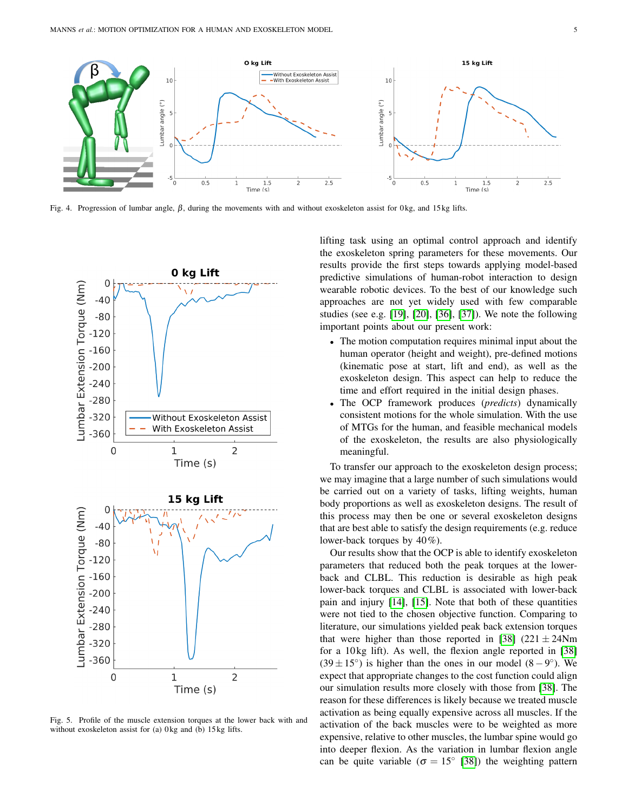

<span id="page-4-0"></span>Fig. 4. Progression of lumbar angle,  $β$ , during the movements with and without exoskeleton assist for 0 kg, and 15 kg lifts.



<span id="page-4-1"></span>Fig. 5. Profile of the muscle extension torques at the lower back with and without exoskeleton assist for (a) 0 kg and (b) 15 kg lifts.

lifting task using an optimal control approach and identify the exoskeleton spring parameters for these movements. Our results provide the first steps towards applying model-based predictive simulations of human-robot interaction to design wearable robotic devices. To the best of our knowledge such approaches are not yet widely used with few comparable studies (see e.g. [\[19\]](#page-6-1), [\[20\]](#page-6-2), [\[36\]](#page-6-17), [\[37\]](#page-6-18)). We note the following important points about our present work:

- The motion computation requires minimal input about the human operator (height and weight), pre-defined motions (kinematic pose at start, lift and end), as well as the exoskeleton design. This aspect can help to reduce the time and effort required in the initial design phases.
- The OCP framework produces (*predicts*) dynamically consistent motions for the whole simulation. With the use of MTGs for the human, and feasible mechanical models of the exoskeleton, the results are also physiologically meaningful.

To transfer our approach to the exoskeleton design process; we may imagine that a large number of such simulations would be carried out on a variety of tasks, lifting weights, human body proportions as well as exoskeleton designs. The result of this process may then be one or several exoskeleton designs that are best able to satisfy the design requirements (e.g. reduce lower-back torques by 40%).

Our results show that the OCP is able to identify exoskeleton parameters that reduced both the peak torques at the lowerback and CLBL. This reduction is desirable as high peak lower-back torques and CLBL is associated with lower-back pain and injury [\[14\]](#page-5-9), [\[15\]](#page-5-10). Note that both of these quantities were not tied to the chosen objective function. Comparing to literature, our simulations yielded peak back extension torques that were higher than those reported in [\[38\]](#page-6-19) (221  $\pm$  24Nm for a 10 kg lift). As well, the flexion angle reported in [\[38\]](#page-6-19)  $(39 \pm 15^{\circ})$  is higher than the ones in our model  $(8-9^{\circ})$ . We expect that appropriate changes to the cost function could align our simulation results more closely with those from [\[38\]](#page-6-19). The reason for these differences is likely because we treated muscle activation as being equally expensive across all muscles. If the activation of the back muscles were to be weighted as more expensive, relative to other muscles, the lumbar spine would go into deeper flexion. As the variation in lumbar flexion angle can be quite variable ( $\sigma = 15^{\circ}$  [\[38\]](#page-6-19)) the weighting pattern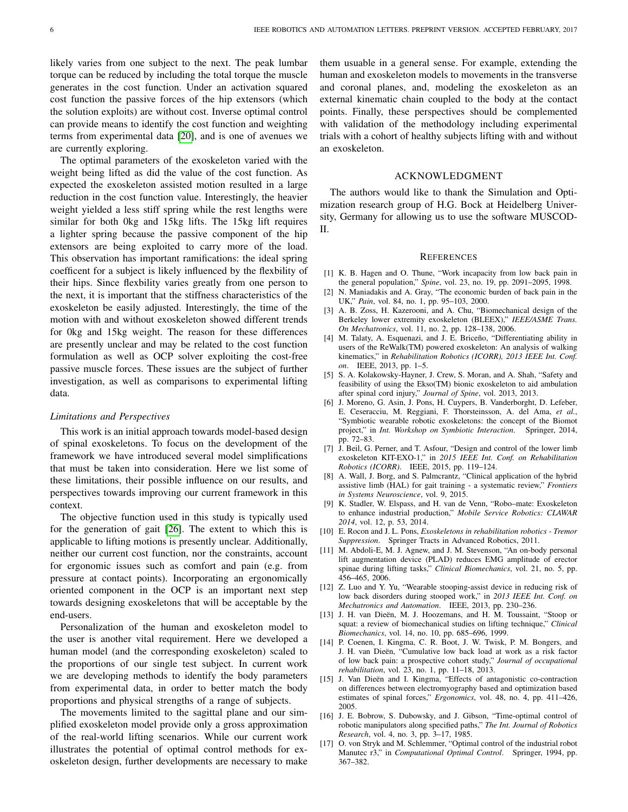likely varies from one subject to the next. The peak lumbar torque can be reduced by including the total torque the muscle generates in the cost function. Under an activation squared cost function the passive forces of the hip extensors (which the solution exploits) are without cost. Inverse optimal control can provide means to identify the cost function and weighting terms from experimental data [\[20\]](#page-6-2), and is one of avenues we are currently exploring.

The optimal parameters of the exoskeleton varied with the weight being lifted as did the value of the cost function. As expected the exoskeleton assisted motion resulted in a large reduction in the cost function value. Interestingly, the heavier weight yielded a less stiff spring while the rest lengths were similar for both 0kg and 15kg lifts. The 15kg lift requires a lighter spring because the passive component of the hip extensors are being exploited to carry more of the load. This observation has important ramifications: the ideal spring coefficent for a subject is likely influenced by the flexbility of their hips. Since flexbility varies greatly from one person to the next, it is important that the stiffness characteristics of the exoskeleton be easily adjusted. Interestingly, the time of the motion with and without exoskeleton showed different trends for 0kg and 15kg weight. The reason for these differences are presently unclear and may be related to the cost function formulation as well as OCP solver exploiting the cost-free passive muscle forces. These issues are the subject of further investigation, as well as comparisons to experimental lifting data.

# *Limitations and Perspectives*

This work is an initial approach towards model-based design of spinal exoskeletons. To focus on the development of the framework we have introduced several model simplifications that must be taken into consideration. Here we list some of these limitations, their possible influence on our results, and perspectives towards improving our current framework in this context.

The objective function used in this study is typically used for the generation of gait [\[26\]](#page-6-8). The extent to which this is applicable to lifting motions is presently unclear. Additionally, neither our current cost function, nor the constraints, account for ergonomic issues such as comfort and pain (e.g. from pressure at contact points). Incorporating an ergonomically oriented component in the OCP is an important next step towards designing exoskeletons that will be acceptable by the end-users.

Personalization of the human and exoskeleton model to the user is another vital requirement. Here we developed a human model (and the corresponding exoskeleton) scaled to the proportions of our single test subject. In current work we are developing methods to identify the body parameters from experimental data, in order to better match the body proportions and physical strengths of a range of subjects.

The movements limited to the sagittal plane and our simplified exoskeleton model provide only a gross approximation of the real-world lifting scenarios. While our current work illustrates the potential of optimal control methods for exoskeleton design, further developments are necessary to make them usuable in a general sense. For example, extending the human and exoskeleton models to movements in the transverse and coronal planes, and, modeling the exoskeleton as an external kinematic chain coupled to the body at the contact points. Finally, these perspectives should be complemented with validation of the methodology including experimental trials with a cohort of healthy subjects lifting with and without an exoskeleton.

## ACKNOWLEDGMENT

The authors would like to thank the Simulation and Optimization research group of H.G. Bock at Heidelberg University, Germany for allowing us to use the software MUSCOD-II.

## **REFERENCES**

- <span id="page-5-0"></span>[1] K. B. Hagen and O. Thune, "Work incapacity from low back pain in the general population," *Spine*, vol. 23, no. 19, pp. 2091–2095, 1998.
- <span id="page-5-1"></span>[2] N. Maniadakis and A. Gray, "The economic burden of back pain in the UK," *Pain*, vol. 84, no. 1, pp. 95–103, 2000.
- <span id="page-5-2"></span>[3] A. B. Zoss, H. Kazerooni, and A. Chu, "Biomechanical design of the Berkeley lower extremity exoskeleton (BLEEX)," *IEEE/ASME Trans. On Mechatronics*, vol. 11, no. 2, pp. 128–138, 2006.
- [4] M. Talaty, A. Esquenazi, and J. E. Briceño, "Differentiating ability in users of the ReWalk(TM) powered exoskeleton: An analysis of walking kinematics," in *Rehabilitation Robotics (ICORR), 2013 IEEE Int. Conf. on*. IEEE, 2013, pp. 1–5.
- [5] S. A. Kolakowsky-Hayner, J. Crew, S. Moran, and A. Shah, "Safety and feasibility of using the Ekso(TM) bionic exoskeleton to aid ambulation after spinal cord injury," *Journal of Spine*, vol. 2013, 2013.
- [6] J. Moreno, G. Asin, J. Pons, H. Cuypers, B. Vanderborght, D. Lefeber, E. Ceseracciu, M. Reggiani, F. Thorsteinsson, A. del Ama, *et al.*, "Symbiotic wearable robotic exoskeletons: the concept of the Biomot project," in *Int. Workshop on Symbiotic Interaction*. Springer, 2014, pp. 72–83.
- [7] J. Beil, G. Perner, and T. Asfour, "Design and control of the lower limb exoskeleton KIT-EXO-1," in *2015 IEEE Int. Conf. on Rehabilitation Robotics (ICORR)*. IEEE, 2015, pp. 119–124.
- <span id="page-5-3"></span>[8] A. Wall, J. Borg, and S. Palmcrantz, "Clinical application of the hybrid assistive limb (HAL) for gait training - a systematic review," *Frontiers in Systems Neuroscience*, vol. 9, 2015.
- <span id="page-5-4"></span>[9] K. Stadler, W. Elspass, and H. van de Venn, "Robo–mate: Exoskeleton to enhance industrial production," *Mobile Service Robotics: CLAWAR 2014*, vol. 12, p. 53, 2014.
- <span id="page-5-5"></span>[10] E. Rocon and J. L. Pons, *Exoskeletons in rehabilitation robotics - Tremor Suppression*. Springer Tracts in Advanced Robotics, 2011.
- <span id="page-5-6"></span>[11] M. Abdoli-E, M. J. Agnew, and J. M. Stevenson, "An on-body personal lift augmentation device (PLAD) reduces EMG amplitude of erector spinae during lifting tasks," *Clinical Biomechanics*, vol. 21, no. 5, pp. 456–465, 2006.
- <span id="page-5-7"></span>[12] Z. Luo and Y. Yu, "Wearable stooping-assist device in reducing risk of low back disorders during stooped work," in *2013 IEEE Int. Conf. on Mechatronics and Automation*. IEEE, 2013, pp. 230–236.
- <span id="page-5-8"></span>[13] J. H. van Dieën, M. J. Hoozemans, and H. M. Toussaint, "Stoop or squat: a review of biomechanical studies on lifting technique," *Clinical Biomechanics*, vol. 14, no. 10, pp. 685–696, 1999.
- <span id="page-5-9"></span>[14] P. Coenen, I. Kingma, C. R. Boot, J. W. Twisk, P. M. Bongers, and J. H. van Dieën, "Cumulative low back load at work as a risk factor of low back pain: a prospective cohort study," *Journal of occupational rehabilitation*, vol. 23, no. 1, pp. 11–18, 2013.
- <span id="page-5-10"></span>[15] J. Van Dieën and I. Kingma, "Effects of antagonistic co-contraction on differences between electromyography based and optimization based estimates of spinal forces," *Ergonomics*, vol. 48, no. 4, pp. 411–426, 2005.
- <span id="page-5-11"></span>[16] J. E. Bobrow, S. Dubowsky, and J. Gibson, "Time-optimal control of robotic manipulators along specified paths," *The Int. Journal of Robotics Research*, vol. 4, no. 3, pp. 3–17, 1985.
- [17] O. von Stryk and M. Schlemmer, "Optimal control of the industrial robot Manutec r3," in *Computational Optimal Control*. Springer, 1994, pp. 367–382.